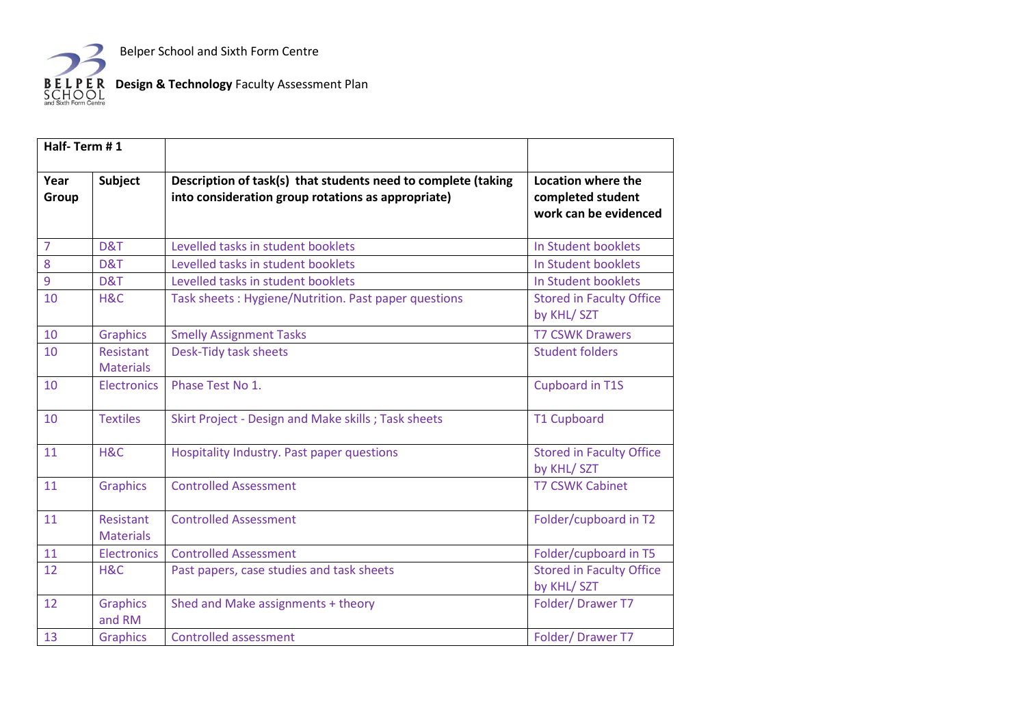Belper School and Sixth Form Centre

**BELPER Design & Technology** Faculty Assessment Plan Sold Skin Form Centre

| Half-Term #1   |                               |                                                                                                                     |                                                                  |
|----------------|-------------------------------|---------------------------------------------------------------------------------------------------------------------|------------------------------------------------------------------|
| Year<br>Group  | Subject                       | Description of task(s) that students need to complete (taking<br>into consideration group rotations as appropriate) | Location where the<br>completed student<br>work can be evidenced |
| $\overline{7}$ | D&T                           | Levelled tasks in student booklets                                                                                  | In Student booklets                                              |
| 8              | D&T                           | Levelled tasks in student booklets                                                                                  | In Student booklets                                              |
| 9              | D&T                           | Levelled tasks in student booklets                                                                                  | In Student booklets                                              |
| 10             | H&C                           | Task sheets: Hygiene/Nutrition. Past paper questions                                                                | <b>Stored in Faculty Office</b><br>by KHL/SZT                    |
| 10             | <b>Graphics</b>               | <b>Smelly Assignment Tasks</b>                                                                                      | <b>T7 CSWK Drawers</b>                                           |
| 10             | Resistant<br><b>Materials</b> | Desk-Tidy task sheets                                                                                               | <b>Student folders</b>                                           |
| 10             | <b>Electronics</b>            | Phase Test No 1.                                                                                                    | Cupboard in T1S                                                  |
| 10             | <b>Textiles</b>               | Skirt Project - Design and Make skills; Task sheets                                                                 | <b>T1 Cupboard</b>                                               |
| 11             | H&C                           | Hospitality Industry. Past paper questions                                                                          | <b>Stored in Faculty Office</b><br>by KHL/SZT                    |
| 11             | <b>Graphics</b>               | <b>Controlled Assessment</b>                                                                                        | <b>T7 CSWK Cabinet</b>                                           |
| 11             | Resistant<br><b>Materials</b> | <b>Controlled Assessment</b>                                                                                        | Folder/cupboard in T2                                            |
| 11             | <b>Electronics</b>            | <b>Controlled Assessment</b>                                                                                        | Folder/cupboard in T5                                            |
| 12             | H&C                           | Past papers, case studies and task sheets                                                                           | <b>Stored in Faculty Office</b><br>by KHL/SZT                    |
| 12             | <b>Graphics</b><br>and RM     | Shed and Make assignments + theory                                                                                  | Folder/Drawer T7                                                 |
| 13             | <b>Graphics</b>               | <b>Controlled assessment</b>                                                                                        | Folder/Drawer T7                                                 |